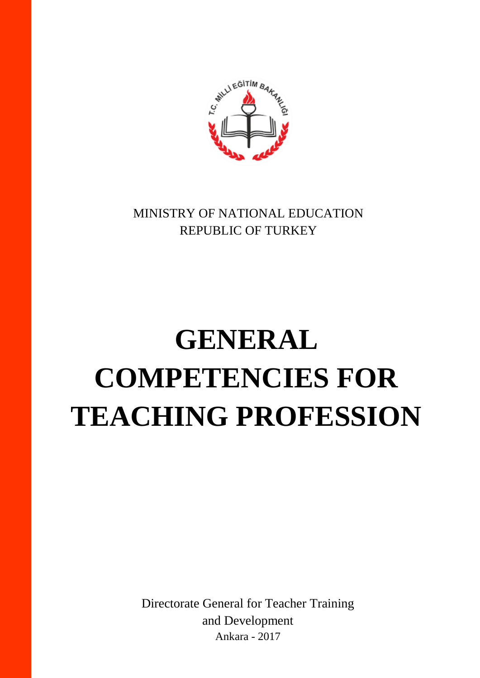MINISTRY OF NATIONAL EDUCATION REPUBLIC OF TURKEY

C.WILLIEGITIM BA

# **GENERAL COMPETENCIES FOR TEACHING PROFESSION**

Directorate General for Teacher Training and Development Ankara - 2017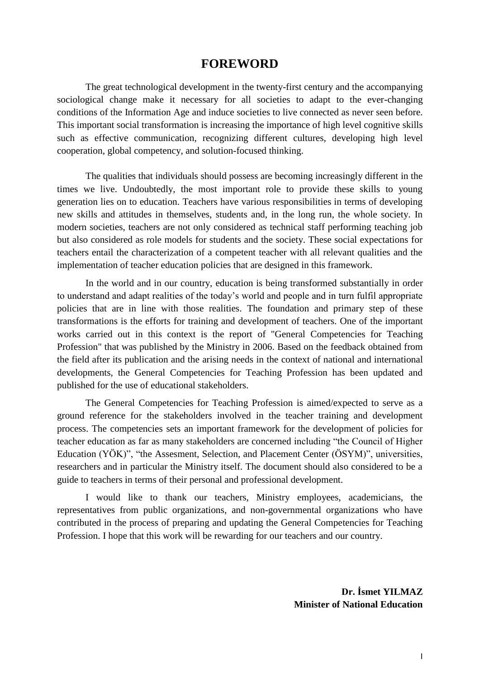#### **FOREWORD**

The great technological development in the twenty-first century and the accompanying sociological change make it necessary for all societies to adapt to the ever-changing conditions of the Information Age and induce societies to live connected as never seen before. This important social transformation is increasing the importance of high level cognitive skills such as effective communication, recognizing different cultures, developing high level cooperation, global competency, and solution-focused thinking.

The qualities that individuals should possess are becoming increasingly different in the times we live. Undoubtedly, the most important role to provide these skills to young generation lies on to education. Teachers have various responsibilities in terms of developing new skills and attitudes in themselves, students and, in the long run, the whole society. In modern societies, teachers are not only considered as technical staff performing teaching job but also considered as role models for students and the society. These social expectations for teachers entail the characterization of a competent teacher with all relevant qualities and the implementation of teacher education policies that are designed in this framework.

In the world and in our country, education is being transformed substantially in order to understand and adapt realities of the today's world and people and in turn fulfil appropriate policies that are in line with those realities. The foundation and primary step of these transformations is the efforts for training and development of teachers. One of the important works carried out in this context is the report of "General Competencies for Teaching Profession" that was published by the Ministry in 2006. Based on the feedback obtained from the field after its publication and the arising needs in the context of national and international developments, the General Competencies for Teaching Profession has been updated and published for the use of educational stakeholders.

The General Competencies for Teaching Profession is aimed/expected to serve as a ground reference for the stakeholders involved in the teacher training and development process. The competencies sets an important framework for the development of policies for teacher education as far as many stakeholders are concerned including "the Council of Higher Education (YÖK)", "the Assesment, Selection, and Placement Center (ÖSYM)", universities, researchers and in particular the Ministry itself. The document should also considered to be a guide to teachers in terms of their personal and professional development.

I would like to thank our teachers, Ministry employees, academicians, the representatives from public organizations, and non-governmental organizations who have contributed in the process of preparing and updating the General Competencies for Teaching Profession. I hope that this work will be rewarding for our teachers and our country.

> **Dr. İsmet YILMAZ Minister of National Education**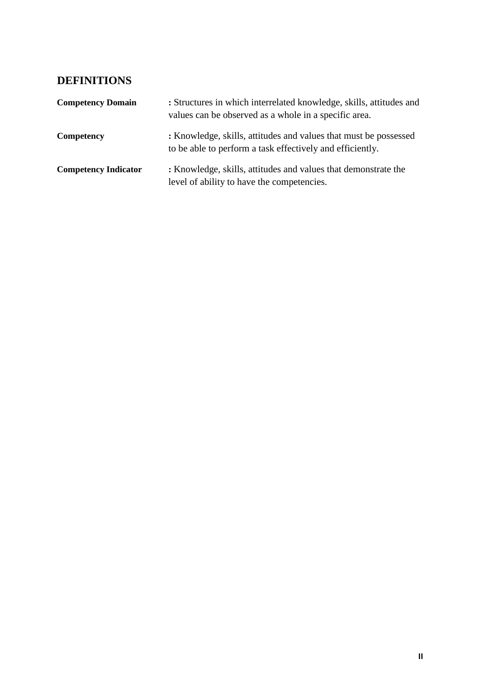## **DEFINITIONS**

| <b>Competency Domain</b>    | : Structures in which interrelated knowledge, skills, attitudes and<br>values can be observed as a whole in a specific area.  |
|-----------------------------|-------------------------------------------------------------------------------------------------------------------------------|
| Competency                  | : Knowledge, skills, attitudes and values that must be possessed<br>to be able to perform a task effectively and efficiently. |
| <b>Competency Indicator</b> | : Knowledge, skills, attitudes and values that demonstrate the<br>level of ability to have the competencies.                  |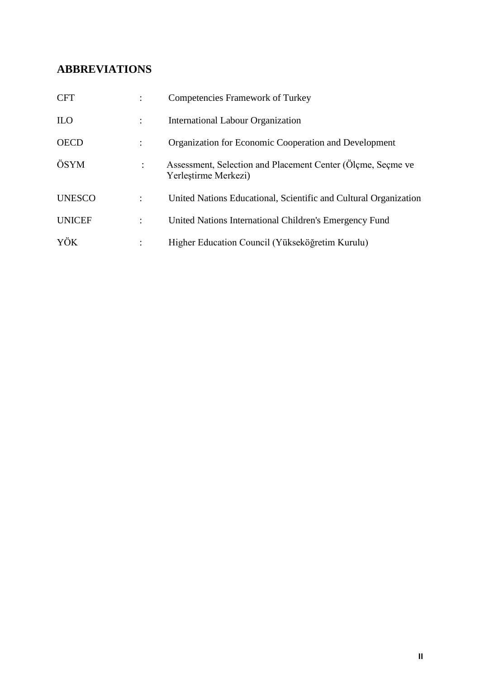## **ABBREVIATIONS**

| <b>CFT</b>    |                | <b>Competencies Framework of Turkey</b>                                             |
|---------------|----------------|-------------------------------------------------------------------------------------|
| <b>ILO</b>    |                | <b>International Labour Organization</b>                                            |
| <b>OECD</b>   |                | <b>Organization for Economic Cooperation and Development</b>                        |
| ÖSYM          | ÷              | Assessment, Selection and Placement Center (Olçme, Seçme ve<br>Yerlestirme Merkezi) |
| <b>UNESCO</b> | $\ddot{\cdot}$ | United Nations Educational, Scientific and Cultural Organization                    |
| <b>UNICEF</b> | $\ddot{\cdot}$ | United Nations International Children's Emergency Fund                              |
| YÖK           |                | Higher Education Council (Yükseköğretim Kurulu)                                     |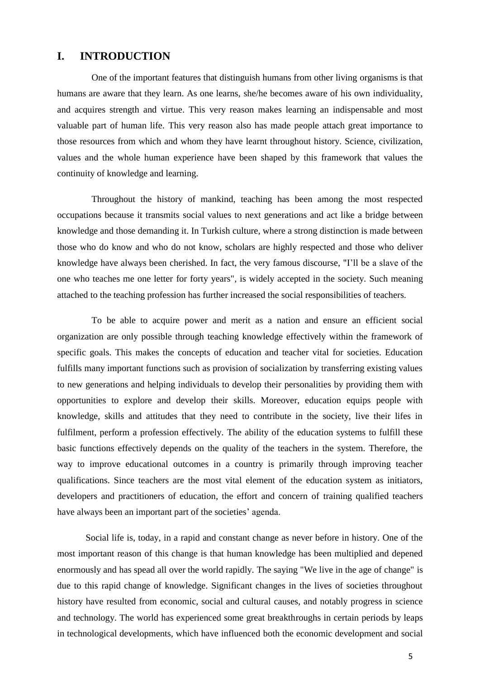#### **I. INTRODUCTION**

One of the important features that distinguish humans from other living organisms is that humans are aware that they learn. As one learns, she/he becomes aware of his own individuality, and acquires strength and virtue. This very reason makes learning an indispensable and most valuable part of human life. This very reason also has made people attach great importance to those resources from which and whom they have learnt throughout history. Science, civilization, values and the whole human experience have been shaped by this framework that values the continuity of knowledge and learning.

Throughout the history of mankind, teaching has been among the most respected occupations because it transmits social values to next generations and act like a bridge between knowledge and those demanding it. In Turkish culture, where a strong distinction is made between those who do know and who do not know, scholars are highly respected and those who deliver knowledge have always been cherished. In fact, the very famous discourse, "I'll be a slave of the one who teaches me one letter for forty years", is widely accepted in the society. Such meaning attached to the teaching profession has further increased the social responsibilities of teachers.

To be able to acquire power and merit as a nation and ensure an efficient social organization are only possible through teaching knowledge effectively within the framework of specific goals. This makes the concepts of education and teacher vital for societies. Education fulfills many important functions such as provision of socialization by transferring existing values to new generations and helping individuals to develop their personalities by providing them with opportunities to explore and develop their skills. Moreover, education equips people with knowledge, skills and attitudes that they need to contribute in the society, live their lifes in fulfilment, perform a profession effectively. The ability of the education systems to fulfill these basic functions effectively depends on the quality of the teachers in the system. Therefore, the way to improve educational outcomes in a country is primarily through improving teacher qualifications. Since teachers are the most vital element of the education system as initiators, developers and practitioners of education, the effort and concern of training qualified teachers have always been an important part of the societies' agenda.

Social life is, today, in a rapid and constant change as never before in history. One of the most important reason of this change is that human knowledge has been multiplied and depened enormously and has spead all over the world rapidly. The saying "We live in the age of change" is due to this rapid change of knowledge. Significant changes in the lives of societies throughout history have resulted from economic, social and cultural causes, and notably progress in science and technology. The world has experienced some great breakthroughs in certain periods by leaps in technological developments, which have influenced both the economic development and social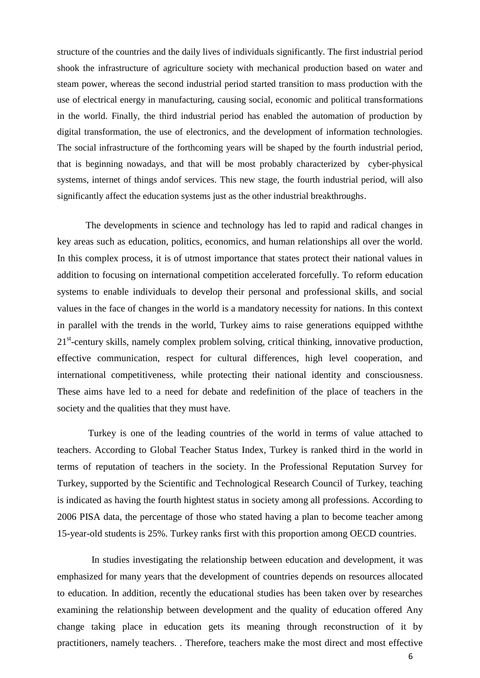structure of the countries and the daily lives of individuals significantly. The first industrial period shook the infrastructure of agriculture society with mechanical production based on water and steam power, whereas the second industrial period started transition to mass production with the use of electrical energy in manufacturing, causing social, economic and political transformations in the world. Finally, the third industrial period has enabled the automation of production by digital transformation, the use of electronics, and the development of information technologies. The social infrastructure of the forthcoming years will be shaped by the fourth industrial period, that is beginning nowadays, and that will be most probably characterized by cyber-physical systems, internet of things andof services. This new stage, the fourth industrial period, will also significantly affect the education systems just as the other industrial breakthroughs.

The developments in science and technology has led to rapid and radical changes in key areas such as education, politics, economics, and human relationships all over the world. In this complex process, it is of utmost importance that states protect their national values in addition to focusing on international competition accelerated forcefully. To reform education systems to enable individuals to develop their personal and professional skills, and social values in the face of changes in the world is a mandatory necessity for nations. In this context in parallel with the trends in the world, Turkey aims to raise generations equipped withthe 21<sup>st</sup>-century skills, namely complex problem solving, critical thinking, innovative production, effective communication, respect for cultural differences, high level cooperation, and international competitiveness, while protecting their national identity and consciousness. These aims have led to a need for debate and redefinition of the place of teachers in the society and the qualities that they must have.

Turkey is one of the leading countries of the world in terms of value attached to teachers. According to Global Teacher Status Index, Turkey is ranked third in the world in terms of reputation of teachers in the society. In the Professional Reputation Survey for Turkey, supported by the Scientific and Technological Research Council of Turkey, teaching is indicated as having the fourth hightest status in society among all professions. According to 2006 PISA data, the percentage of those who stated having a plan to become teacher among 15-year-old students is 25%. Turkey ranks first with this proportion among OECD countries.

In studies investigating the relationship between education and development, it was emphasized for many years that the development of countries depends on resources allocated to education. In addition, recently the educational studies has been taken over by researches examining the relationship between development and the quality of education offered Any change taking place in education gets its meaning through reconstruction of it by practitioners, namely teachers. . Therefore, teachers make the most direct and most effective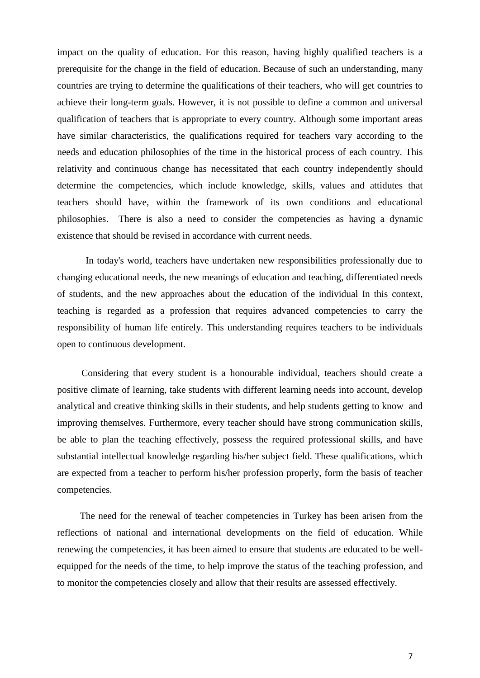impact on the quality of education. For this reason, having highly qualified teachers is a prerequisite for the change in the field of education. Because of such an understanding, many countries are trying to determine the qualifications of their teachers, who will get countries to achieve their long-term goals. However, it is not possible to define a common and universal qualification of teachers that is appropriate to every country. Although some important areas have similar characteristics, the qualifications required for teachers vary according to the needs and education philosophies of the time in the historical process of each country. This relativity and continuous change has necessitated that each country independently should determine the competencies, which include knowledge, skills, values and attidutes that teachers should have, within the framework of its own conditions and educational philosophies. There is also a need to consider the competencies as having a dynamic existence that should be revised in accordance with current needs.

In today's world, teachers have undertaken new responsibilities professionally due to changing educational needs, the new meanings of education and teaching, differentiated needs of students, and the new approaches about the education of the individual In this context, teaching is regarded as a profession that requires advanced competencies to carry the responsibility of human life entirely. This understanding requires teachers to be individuals open to continuous development.

Considering that every student is a honourable individual, teachers should create a positive climate of learning, take students with different learning needs into account, develop analytical and creative thinking skills in their students, and help students getting to know and improving themselves. Furthermore, every teacher should have strong communication skills, be able to plan the teaching effectively, possess the required professional skills, and have substantial intellectual knowledge regarding his/her subject field. These qualifications, which are expected from a teacher to perform his/her profession properly, form the basis of teacher competencies.

The need for the renewal of teacher competencies in Turkey has been arisen from the reflections of national and international developments on the field of education. While renewing the competencies, it has been aimed to ensure that students are educated to be wellequipped for the needs of the time, to help improve the status of the teaching profession, and to monitor the competencies closely and allow that their results are assessed effectively.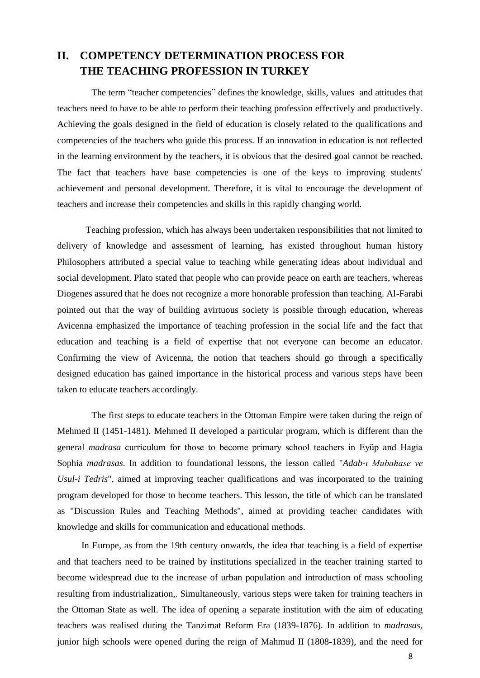## **II. COMPETENCY DETERMINATION PROCESS FOR THE TEACHING PROFESSION IN TURKEY**

The term "teacher competencies" defines the knowledge, skills, values and attitudes that teachers need to have to be able to perform their teaching profession effectively and productively. Achieving the goals designed in the field of education is closely related to the qualifications and competencies of the teachers who guide this process. If an innovation in education is not reflected in the learning environment by the teachers, it is obvious that the desired goal cannot be reached. The fact that teachers have base competencies is one of the keys to improving students' achievement and personal development. Therefore, it is vital to encourage the development of teachers and increase their competencies and skills in this rapidly changing world.

Teaching profession, which has always been undertaken responsibilities that not limited to delivery of knowledge and assessment of learning, has existed throughout human history Philosophers attributed a special value to teaching while generating ideas about individual and social development. Plato stated that people who can provide peace on earth are teachers, whereas Diogenes assured that he does not recognize a more honorable profession than teaching. Al-Farabi pointed out that the way of building avirtuous society is possible through education, whereas Avicenna emphasized the importance of teaching profession in the social life and the fact that education and teaching is a field of expertise that not everyone can become an educator. Confirming the view of Avicenna, the notion that teachers should go through a specifically designed education has gained importance in the historical process and various steps have been taken to educate teachers accordingly.

The first steps to educate teachers in the Ottoman Empire were taken during the reign of Mehmed II (1451-1481). Mehmed II developed a particular program, which is different than the general *madrasa* curriculum for those to become primary school teachers in Eyüp and Hagia Sophia *madrasas*. In addition to foundational lessons, the lesson called "*Adab-ı Mubahase ve Usul-i Tedris*", aimed at improving teacher qualifications and was incorporated to the training program developed for those to become teachers. This lesson, the title of which can be translated as "Discussion Rules and Teaching Methods", aimed at providing teacher candidates with knowledge and skills for communication and educational methods.

In Europe, as from the 19th century onwards, the idea that teaching is a field of expertise and that teachers need to be trained by institutions specialized in the teacher training started to become widespread due to the increase of urban population and introduction of mass schooling resulting from industrialization,. Simultaneously, various steps were taken for training teachers in the Ottoman State as well. The idea of opening a separate institution with the aim of educating teachers was realised during the Tanzimat Reform Era (1839-1876). In addition to *madrasas*, junior high schools were opened during the reign of Mahmud II (1808-1839), and the need for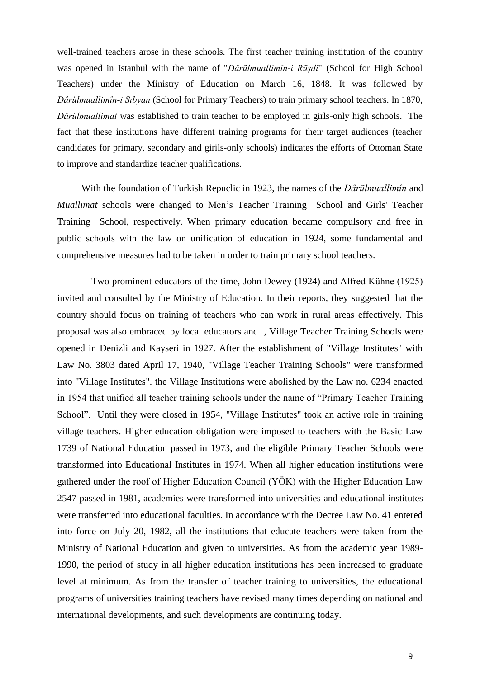well-trained teachers arose in these schools. The first teacher training institution of the country was opened in Istanbul with the name of "*Dârülmuallimîn-i Rüşdî*" (School for High School Teachers) under the Ministry of Education on March 16, 1848. It was followed by *Dârülmuallimîn-i Sıbyan* (School for Primary Teachers) to train primary school teachers. In 1870, *Dârülmuallimat* was established to train teacher to be employed in girls-only high schools. The fact that these institutions have different training programs for their target audiences (teacher candidates for primary, secondary and girils-only schools) indicates the efforts of Ottoman State to improve and standardize teacher qualifications.

With the foundation of Turkish Repuclic in 1923, the names of the *Dârülmuallimîn* and *Muallimat* schools were changed to Men's Teacher Training School and Girls' Teacher Training School, respectively. When primary education became compulsory and free in public schools with the law on unification of education in 1924, some fundamental and comprehensive measures had to be taken in order to train primary school teachers.

Two prominent educators of the time, John Dewey (1924) and Alfred Kühne (1925) invited and consulted by the Ministry of Education. In their reports, they suggested that the country should focus on training of teachers who can work in rural areas effectively. This proposal was also embraced by local educators and , Village Teacher Training Schools were opened in Denizli and Kayseri in 1927. After the establishment of "Village Institutes" with Law No. 3803 dated April 17, 1940, "Village Teacher Training Schools" were transformed into "Village Institutes". the Village Institutions were abolished by the Law no. 6234 enacted in 1954 that unified all teacher training schools under the name of "Primary Teacher Training School". Until they were closed in 1954, "Village Institutes" took an active role in training village teachers. Higher education obligation were imposed to teachers with the Basic Law 1739 of National Education passed in 1973, and the eligible Primary Teacher Schools were transformed into Educational Institutes in 1974. When all higher education institutions were gathered under the roof of Higher Education Council (YÖK) with the Higher Education Law 2547 passed in 1981, academies were transformed into universities and educational institutes were transferred into educational faculties. In accordance with the Decree Law No. 41 entered into force on July 20, 1982, all the institutions that educate teachers were taken from the Ministry of National Education and given to universities. As from the academic year 1989- 1990, the period of study in all higher education institutions has been increased to graduate level at minimum. As from the transfer of teacher training to universities, the educational programs of universities training teachers have revised many times depending on national and international developments, and such developments are continuing today.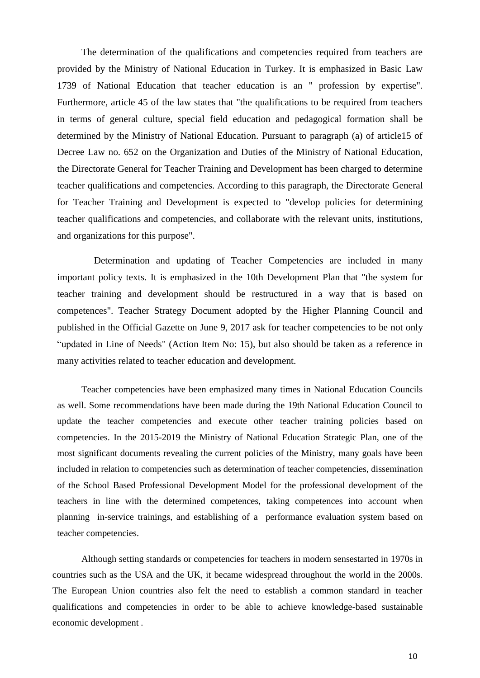The determination of the qualifications and competencies required from teachers are provided by the Ministry of National Education in Turkey. It is emphasized in Basic Law 1739 of National Education that teacher education is an " profession by expertise". Furthermore, article 45 of the law states that "the qualifications to be required from teachers in terms of general culture, special field education and pedagogical formation shall be determined by the Ministry of National Education. Pursuant to paragraph (a) of article15 of Decree Law no. 652 on the Organization and Duties of the Ministry of National Education, the Directorate General for Teacher Training and Development has been charged to determine teacher qualifications and competencies. According to this paragraph, the Directorate General for Teacher Training and Development is expected to "develop policies for determining teacher qualifications and competencies, and collaborate with the relevant units, institutions, and organizations for this purpose".

Determination and updating of Teacher Competencies are included in many important policy texts. It is emphasized in the 10th Development Plan that "the system for teacher training and development should be restructured in a way that is based on competences". Teacher Strategy Document adopted by the Higher Planning Council and published in the Official Gazette on June 9, 2017 ask for teacher competencies to be not only "updated in Line of Needs" (Action Item No: 15), but also should be taken as a reference in many activities related to teacher education and development.

Teacher competencies have been emphasized many times in National Education Councils as well. Some recommendations have been made during the 19th National Education Council to update the teacher competencies and execute other teacher training policies based on competencies. In the 2015-2019 the Ministry of National Education Strategic Plan, one of the most significant documents revealing the current policies of the Ministry, many goals have been included in relation to competencies such as determination of teacher competencies, dissemination of the School Based Professional Development Model for the professional development of the teachers in line with the determined competences, taking competences into account when planning in-service trainings, and establishing of a performance evaluation system based on teacher competencies.

Although setting standards or competencies for teachers in modern sensestarted in 1970s in countries such as the USA and the UK, it became widespread throughout the world in the 2000s. The European Union countries also felt the need to establish a common standard in teacher qualifications and competencies in order to be able to achieve knowledge-based sustainable economic development .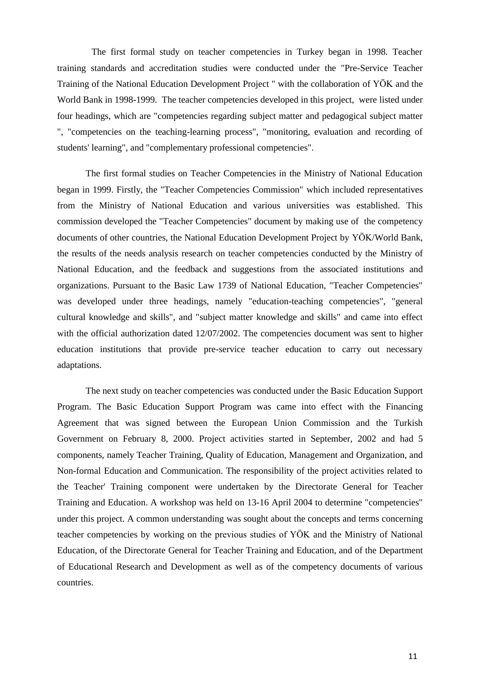The first formal study on teacher competencies in Turkey began in 1998. Teacher training standards and accreditation studies were conducted under the "Pre-Service Teacher Training of the National Education Development Project " with the collaboration of YÖK and the World Bank in 1998-1999. The teacher competencies developed in this project, were listed under four headings, which are "competencies regarding subject matter and pedagogical subject matter ", "competencies on the teaching-learning process", "monitoring, evaluation and recording of students' learning", and "complementary professional competencies".

The first formal studies on Teacher Competencies in the Ministry of National Education began in 1999. Firstly, the "Teacher Competencies Commission" which included representatives from the Ministry of National Education and various universities was established. This commission developed the "Teacher Competencies" document by making use of the competency documents of other countries, the National Education Development Project by YÖK/World Bank, the results of the needs analysis research on teacher competencies conducted by the Ministry of National Education, and the feedback and suggestions from the associated institutions and organizations. Pursuant to the Basic Law 1739 of National Education, "Teacher Competencies" was developed under three headings, namely "education-teaching competencies", "general cultural knowledge and skills", and "subject matter knowledge and skills" and came into effect with the official authorization dated 12/07/2002. The competencies document was sent to higher education institutions that provide pre-service teacher education to carry out necessary adaptations.

The next study on teacher competencies was conducted under the Basic Education Support Program. The Basic Education Support Program was came into effect with the Financing Agreement that was signed between the European Union Commission and the Turkish Government on February 8, 2000. Project activities started in September, 2002 and had 5 components, namely Teacher Training, Quality of Education, Management and Organization, and Non-formal Education and Communication. The responsibility of the project activities related to the Teacher' Training component were undertaken by the Directorate General for Teacher Training and Education. A workshop was held on 13-16 April 2004 to determine "competencies" under this project. A common understanding was sought about the concepts and terms concerning teacher competencies by working on the previous studies of YÖK and the Ministry of National Education, of the Directorate General for Teacher Training and Education, and of the Department of Educational Research and Development as well as of the competency documents of various countries.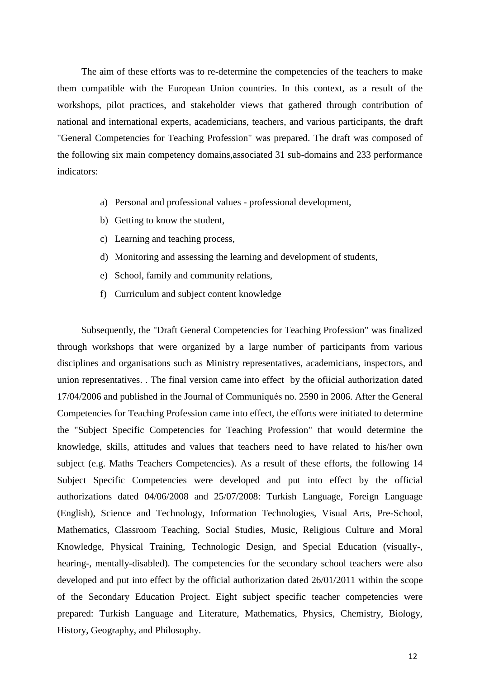The aim of these efforts was to re-determine the competencies of the teachers to make them compatible with the European Union countries. In this context, as a result of the workshops, pilot practices, and stakeholder views that gathered through contribution of national and international experts, academicians, teachers, and various participants, the draft "General Competencies for Teaching Profession" was prepared. The draft was composed of the following six main competency domains,associated 31 sub-domains and 233 performance indicators:

- a) Personal and professional values professional development,
- b) Getting to know the student,
- c) Learning and teaching process,
- d) Monitoring and assessing the learning and development of students,
- e) School, family and community relations,
- f) Curriculum and subject content knowledge

Subsequently, the "Draft General Competencies for Teaching Profession" was finalized through workshops that were organized by a large number of participants from various disciplines and organisations such as Ministry representatives, academicians, inspectors, and union representatives. . The final version came into effect by the ofiicial authorization dated 17/04/2006 and published in the Journal of Communiqués no. 2590 in 2006. After the General Competencies for Teaching Profession came into effect, the efforts were initiated to determine the "Subject Specific Competencies for Teaching Profession" that would determine the knowledge, skills, attitudes and values that teachers need to have related to his/her own subject (e.g. Maths Teachers Competencies). As a result of these efforts, the following 14 Subject Specific Competencies were developed and put into effect by the official authorizations dated 04/06/2008 and 25/07/2008: Turkish Language, Foreign Language (English), Science and Technology, Information Technologies, Visual Arts, Pre-School, Mathematics, Classroom Teaching, Social Studies, Music, Religious Culture and Moral Knowledge, Physical Training, Technologic Design, and Special Education (visually-, hearing-, mentally-disabled). The competencies for the secondary school teachers were also developed and put into effect by the official authorization dated 26/01/2011 within the scope of the Secondary Education Project. Eight subject specific teacher competencies were prepared: Turkish Language and Literature, Mathematics, Physics, Chemistry, Biology, History, Geography, and Philosophy.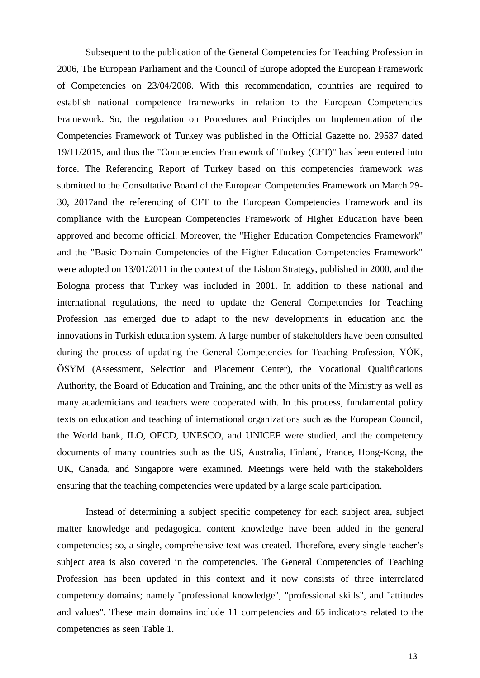Subsequent to the publication of the General Competencies for Teaching Profession in 2006, The European Parliament and the Council of Europe adopted the European Framework of Competencies on 23/04/2008. With this recommendation, countries are required to establish national competence frameworks in relation to the European Competencies Framework. So, the regulation on Procedures and Principles on Implementation of the Competencies Framework of Turkey was published in the Official Gazette no. 29537 dated 19/11/2015, and thus the "Competencies Framework of Turkey (CFT)" has been entered into force. The Referencing Report of Turkey based on this competencies framework was submitted to the Consultative Board of the European Competencies Framework on March 29- 30, 2017and the referencing of CFT to the European Competencies Framework and its compliance with the European Competencies Framework of Higher Education have been approved and become official. Moreover, the "Higher Education Competencies Framework" and the "Basic Domain Competencies of the Higher Education Competencies Framework" were adopted on 13/01/2011 in the context of the Lisbon Strategy, published in 2000, and the Bologna process that Turkey was included in 2001. In addition to these national and international regulations, the need to update the General Competencies for Teaching Profession has emerged due to adapt to the new developments in education and the innovations in Turkish education system. A large number of stakeholders have been consulted during the process of updating the General Competencies for Teaching Profession, YÖK, ÖSYM (Assessment, Selection and Placement Center), the Vocational Qualifications Authority, the Board of Education and Training, and the other units of the Ministry as well as many academicians and teachers were cooperated with. In this process, fundamental policy texts on education and teaching of international organizations such as the European Council, the World bank, ILO, OECD, UNESCO, and UNICEF were studied, and the competency documents of many countries such as the US, Australia, Finland, France, Hong-Kong, the UK, Canada, and Singapore were examined. Meetings were held with the stakeholders ensuring that the teaching competencies were updated by a large scale participation.

Instead of determining a subject specific competency for each subject area, subject matter knowledge and pedagogical content knowledge have been added in the general competencies; so, a single, comprehensive text was created. Therefore, every single teacher's subject area is also covered in the competencies. The General Competencies of Teaching Profession has been updated in this context and it now consists of three interrelated competency domains; namely "professional knowledge", "professional skills", and "attitudes and values". These main domains include 11 competencies and 65 indicators related to the competencies as seen Table 1.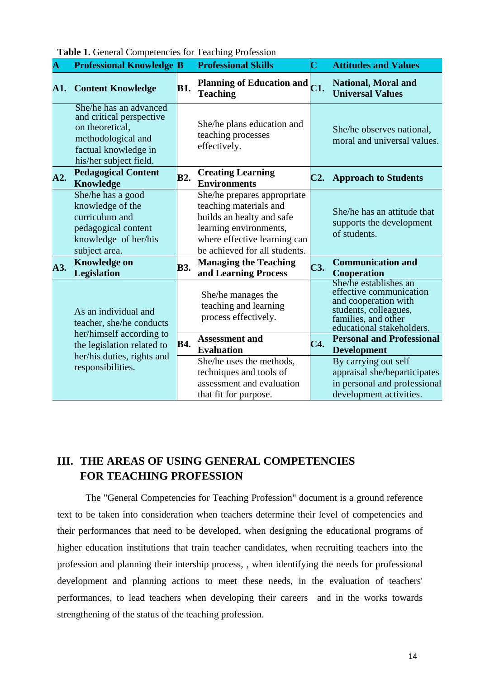| $\overline{\mathbf{A}}$ | <b>THEIR TO CONTRACT COMPONENTS</b> FOR TURNING PRODUCED<br><b>Professional Knowledge B</b>                                                   |            | <b>Professional Skills</b>                                                                                                                                                    | C                          | <b>Attitudes and Values</b>                                                                                                                           |
|-------------------------|-----------------------------------------------------------------------------------------------------------------------------------------------|------------|-------------------------------------------------------------------------------------------------------------------------------------------------------------------------------|----------------------------|-------------------------------------------------------------------------------------------------------------------------------------------------------|
| A1.                     | <b>Content Knowledge</b>                                                                                                                      | <b>B1.</b> | Planning of Education and<br><b>Teaching</b>                                                                                                                                  | $\overline{\textbf{C1}}$ . | <b>National, Moral and</b><br><b>Universal Values</b>                                                                                                 |
|                         | She/he has an advanced<br>and critical perspective<br>on theoretical,<br>methodological and<br>factual knowledge in<br>his/her subject field. |            | She/he plans education and<br>teaching processes<br>effectively.                                                                                                              |                            | She/he observes national,<br>moral and universal values.                                                                                              |
| A2.                     | <b>Pedagogical Content</b><br><b>Knowledge</b>                                                                                                | <b>B2.</b> | <b>Creating Learning</b><br><b>Environments</b>                                                                                                                               | C2.                        | <b>Approach to Students</b>                                                                                                                           |
|                         | She/he has a good<br>knowledge of the<br>curriculum and<br>pedagogical content<br>knowledge of her/his<br>subject area.                       |            | She/he prepares appropriate<br>teaching materials and<br>builds an healty and safe<br>learning environments,<br>where effective learning can<br>be achieved for all students. |                            | She/he has an attitude that<br>supports the development<br>of students.                                                                               |
| A3.                     | <b>Knowledge on</b><br><b>Legislation</b>                                                                                                     | <b>B3.</b> | <b>Managing the Teaching</b><br>and Learning Process                                                                                                                          | C3.                        | <b>Communication and</b><br><b>Cooperation</b>                                                                                                        |
| As an individual and    | teacher, she/he conducts                                                                                                                      |            | She/he manages the<br>teaching and learning<br>process effectively.                                                                                                           |                            | She/he establishes an<br>effective communication<br>and cooperation with<br>students, colleagues,<br>families, and other<br>educational stakeholders. |
|                         | her/himself according to<br>the legislation related to<br>her/his duties, rights and<br>responsibilities.                                     | B4.        | <b>Assessment and</b><br><b>Evaluation</b>                                                                                                                                    | C4.                        | <b>Personal and Professional</b><br><b>Development</b>                                                                                                |
|                         |                                                                                                                                               |            | She/he uses the methods,<br>techniques and tools of<br>assessment and evaluation<br>that fit for purpose.                                                                     |                            | By carrying out self<br>appraisal she/heparticipates<br>in personal and professional<br>development activities.                                       |

**Table 1.** General Competencies for Teaching Profession

## **III. THE AREAS OF USING GENERAL COMPETENCIES FOR TEACHING PROFESSION**

The "General Competencies for Teaching Profession" document is a ground reference text to be taken into consideration when teachers determine their level of competencies and their performances that need to be developed, when designing the educational programs of higher education institutions that train teacher candidates, when recruiting teachers into the profession and planning their intership process, , when identifying the needs for professional development and planning actions to meet these needs, in the evaluation of teachers' performances, to lead teachers when developing their careers and in the works towards strengthening of the status of the teaching profession.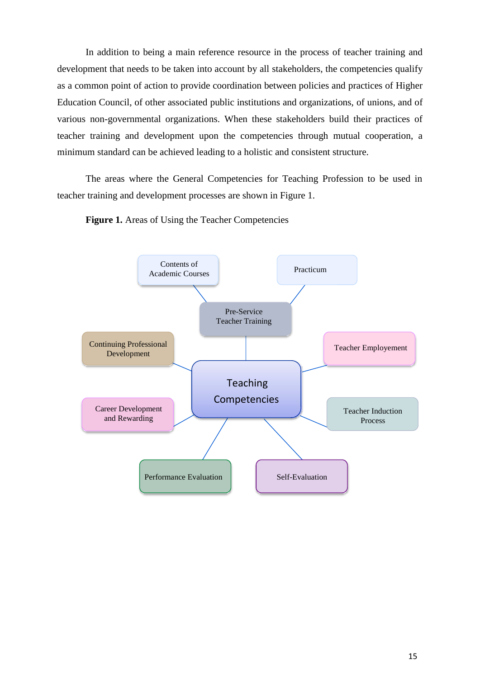In addition to being a main reference resource in the process of teacher training and development that needs to be taken into account by all stakeholders, the competencies qualify as a common point of action to provide coordination between policies and practices of Higher Education Council, of other associated public institutions and organizations, of unions, and of various non-governmental organizations. When these stakeholders build their practices of teacher training and development upon the competencies through mutual cooperation, a minimum standard can be achieved leading to a holistic and consistent structure.

The areas where the General Competencies for Teaching Profession to be used in teacher training and development processes are shown in Figure 1.

**Figure 1.** Areas of Using the Teacher Competencies

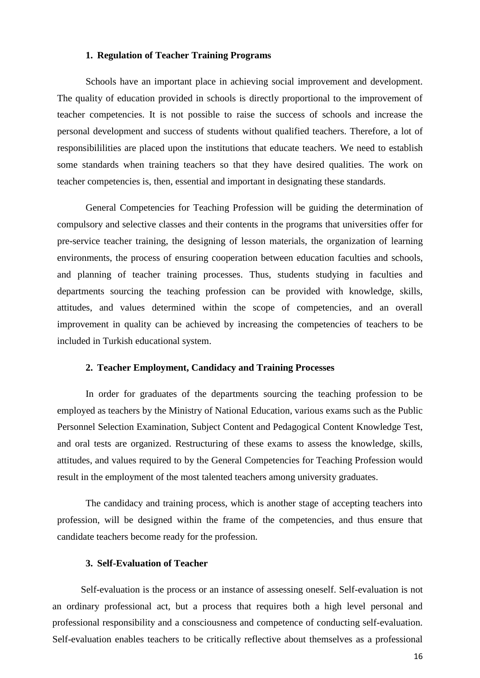#### **1. Regulation of Teacher Training Programs**

Schools have an important place in achieving social improvement and development. The quality of education provided in schools is directly proportional to the improvement of teacher competencies. It is not possible to raise the success of schools and increase the personal development and success of students without qualified teachers. Therefore, a lot of responsibililities are placed upon the institutions that educate teachers. We need to establish some standards when training teachers so that they have desired qualities. The work on teacher competencies is, then, essential and important in designating these standards.

General Competencies for Teaching Profession will be guiding the determination of compulsory and selective classes and their contents in the programs that universities offer for pre-service teacher training, the designing of lesson materials, the organization of learning environments, the process of ensuring cooperation between education faculties and schools, and planning of teacher training processes. Thus, students studying in faculties and departments sourcing the teaching profession can be provided with knowledge, skills, attitudes, and values determined within the scope of competencies, and an overall improvement in quality can be achieved by increasing the competencies of teachers to be included in Turkish educational system.

#### **2. Teacher Employment, Candidacy and Training Processes**

In order for graduates of the departments sourcing the teaching profession to be employed as teachers by the Ministry of National Education, various exams such as the Public Personnel Selection Examination, Subject Content and Pedagogical Content Knowledge Test, and oral tests are organized. Restructuring of these exams to assess the knowledge, skills, attitudes, and values required to by the General Competencies for Teaching Profession would result in the employment of the most talented teachers among university graduates.

The candidacy and training process, which is another stage of accepting teachers into profession, will be designed within the frame of the competencies, and thus ensure that candidate teachers become ready for the profession.

#### **3. Self-Evaluation of Teacher**

Self-evaluation is the process or an instance of assessing oneself. Self-evaluation is not an ordinary professional act, but a process that requires both a high level personal and professional responsibility and a consciousness and competence of conducting self-evaluation. Self-evaluation enables teachers to be critically reflective about themselves as a professional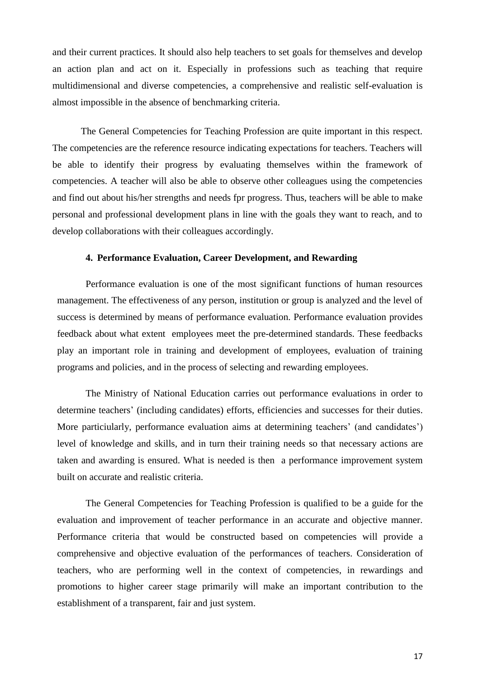and their current practices. It should also help teachers to set goals for themselves and develop an action plan and act on it. Especially in professions such as teaching that require multidimensional and diverse competencies, a comprehensive and realistic self-evaluation is almost impossible in the absence of benchmarking criteria.

The General Competencies for Teaching Profession are quite important in this respect. The competencies are the reference resource indicating expectations for teachers. Teachers will be able to identify their progress by evaluating themselves within the framework of competencies. A teacher will also be able to observe other colleagues using the competencies and find out about his/her strengths and needs fpr progress. Thus, teachers will be able to make personal and professional development plans in line with the goals they want to reach, and to develop collaborations with their colleagues accordingly.

#### **4. Performance Evaluation, Career Development, and Rewarding**

Performance evaluation is one of the most significant functions of human resources management. The effectiveness of any person, institution or group is analyzed and the level of success is determined by means of performance evaluation. Performance evaluation provides feedback about what extent employees meet the pre-determined standards. These feedbacks play an important role in training and development of employees, evaluation of training programs and policies, and in the process of selecting and rewarding employees.

The Ministry of National Education carries out performance evaluations in order to determine teachers' (including candidates) efforts, efficiencies and successes for their duties. More particiularly, performance evaluation aims at determining teachers' (and candidates') level of knowledge and skills, and in turn their training needs so that necessary actions are taken and awarding is ensured. What is needed is then a performance improvement system built on accurate and realistic criteria.

The General Competencies for Teaching Profession is qualified to be a guide for the evaluation and improvement of teacher performance in an accurate and objective manner. Performance criteria that would be constructed based on competencies will provide a comprehensive and objective evaluation of the performances of teachers. Consideration of teachers, who are performing well in the context of competencies, in rewardings and promotions to higher career stage primarily will make an important contribution to the establishment of a transparent, fair and just system.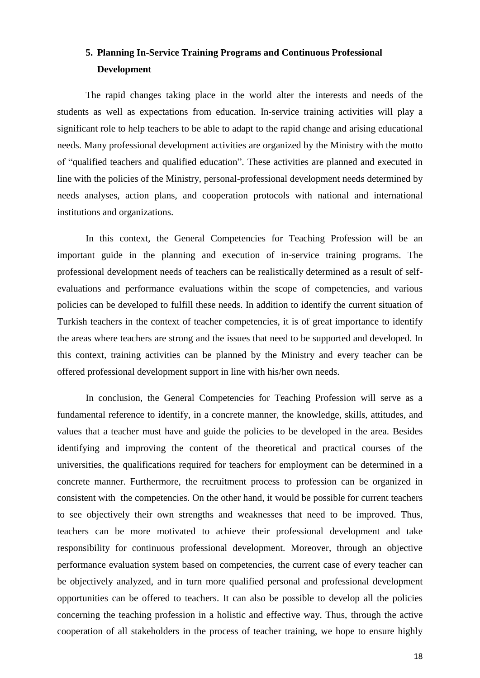## **5. Planning In-Service Training Programs and Continuous Professional Development**

The rapid changes taking place in the world alter the interests and needs of the students as well as expectations from education. In-service training activities will play a significant role to help teachers to be able to adapt to the rapid change and arising educational needs. Many professional development activities are organized by the Ministry with the motto of "qualified teachers and qualified education". These activities are planned and executed in line with the policies of the Ministry, personal-professional development needs determined by needs analyses, action plans, and cooperation protocols with national and international institutions and organizations.

In this context, the General Competencies for Teaching Profession will be an important guide in the planning and execution of in-service training programs. The professional development needs of teachers can be realistically determined as a result of selfevaluations and performance evaluations within the scope of competencies, and various policies can be developed to fulfill these needs. In addition to identify the current situation of Turkish teachers in the context of teacher competencies, it is of great importance to identify the areas where teachers are strong and the issues that need to be supported and developed. In this context, training activities can be planned by the Ministry and every teacher can be offered professional development support in line with his/her own needs.

In conclusion, the General Competencies for Teaching Profession will serve as a fundamental reference to identify, in a concrete manner, the knowledge, skills, attitudes, and values that a teacher must have and guide the policies to be developed in the area. Besides identifying and improving the content of the theoretical and practical courses of the universities, the qualifications required for teachers for employment can be determined in a concrete manner. Furthermore, the recruitment process to profession can be organized in consistent with the competencies. On the other hand, it would be possible for current teachers to see objectively their own strengths and weaknesses that need to be improved. Thus, teachers can be more motivated to achieve their professional development and take responsibility for continuous professional development. Moreover, through an objective performance evaluation system based on competencies, the current case of every teacher can be objectively analyzed, and in turn more qualified personal and professional development opportunities can be offered to teachers. It can also be possible to develop all the policies concerning the teaching profession in a holistic and effective way. Thus, through the active cooperation of all stakeholders in the process of teacher training, we hope to ensure highly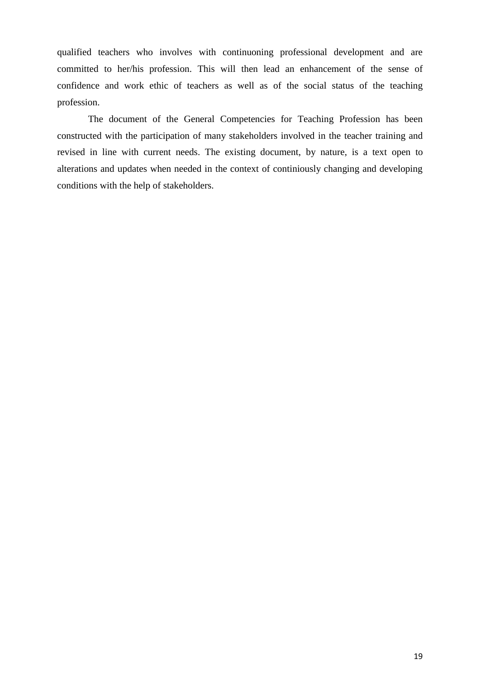qualified teachers who involves with continuoning professional development and are committed to her/his profession. This will then lead an enhancement of the sense of confidence and work ethic of teachers as well as of the social status of the teaching profession.

The document of the General Competencies for Teaching Profession has been constructed with the participation of many stakeholders involved in the teacher training and revised in line with current needs. The existing document, by nature, is a text open to alterations and updates when needed in the context of continiously changing and developing conditions with the help of stakeholders.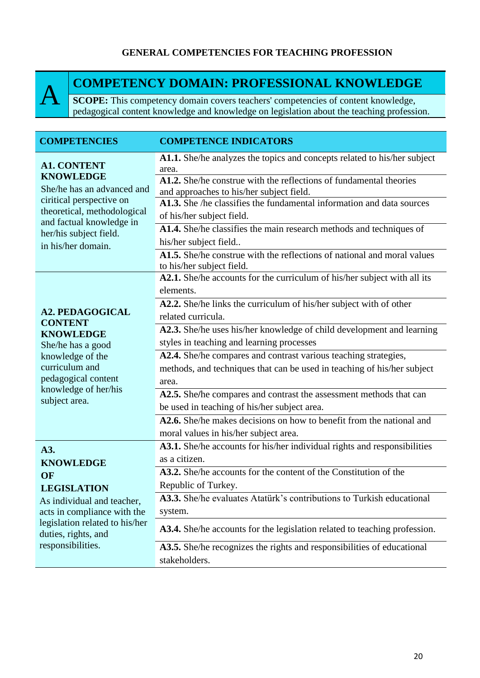#### **GENERAL COMPETENCIES FOR TEACHING PROFESSION**



## **COMPETENCY DOMAIN: PROFESSIONAL KNOWLEDGE**

**SCOPE:** This competency domain covers teachers' competencies of content knowledge, pedagogical content knowledge and knowledge on legislation about the teaching profession.

| <b>COMPETENCIES</b>                                                                                                                                                                                         | <b>COMPETENCE INDICATORS</b>                                                                                       |
|-------------------------------------------------------------------------------------------------------------------------------------------------------------------------------------------------------------|--------------------------------------------------------------------------------------------------------------------|
| <b>A1. CONTENT</b><br><b>KNOWLEDGE</b><br>She/he has an advanced and<br>ciritical perspective on<br>theoretical, methodological<br>and factual knowledge in<br>her/his subject field.<br>in his/her domain. | A1.1. She/he analyzes the topics and concepts related to his/her subject<br>area.                                  |
|                                                                                                                                                                                                             | A1.2. She/he construe with the reflections of fundamental theories<br>and approaches to his/her subject field.     |
|                                                                                                                                                                                                             | A1.3. She /he classifies the fundamental information and data sources<br>of his/her subject field.                 |
|                                                                                                                                                                                                             | A1.4. She/he classifies the main research methods and techniques of<br>his/her subject field                       |
|                                                                                                                                                                                                             | A1.5. She/he construe with the reflections of national and moral values<br>to his/her subject field.               |
| <b>A2. PEDAGOGICAL</b><br><b>CONTENT</b><br><b>KNOWLEDGE</b>                                                                                                                                                | A2.1. She/he accounts for the curriculum of his/her subject with all its<br>elements.                              |
|                                                                                                                                                                                                             | A2.2. She/he links the curriculum of his/her subject with of other<br>related curricula.                           |
|                                                                                                                                                                                                             | A2.3. She/he uses his/her knowledge of child development and learning                                              |
| She/he has a good<br>knowledge of the                                                                                                                                                                       | styles in teaching and learning processes<br>A2.4. She/he compares and contrast various teaching strategies,       |
| curriculum and<br>pedagogical content<br>knowledge of her/his<br>subject area.                                                                                                                              | methods, and techniques that can be used in teaching of his/her subject<br>area.                                   |
|                                                                                                                                                                                                             | A2.5. She/he compares and contrast the assessment methods that can<br>be used in teaching of his/her subject area. |
|                                                                                                                                                                                                             | A2.6. She/he makes decisions on how to benefit from the national and<br>moral values in his/her subject area.      |
| A3.<br><b>KNOWLEDGE</b><br>OF<br><b>LEGISLATION</b><br>As individual and teacher,<br>acts in compliance with the<br>legislation related to his/her<br>duties, rights, and<br>responsibilities.              | A3.1. She/he accounts for his/her individual rights and responsibilities<br>as a citizen.                          |
|                                                                                                                                                                                                             | A3.2. She/he accounts for the content of the Constitution of the                                                   |
|                                                                                                                                                                                                             | Republic of Turkey.<br>A3.3. She/he evaluates Atatürk's contributions to Turkish educational                       |
|                                                                                                                                                                                                             | system.                                                                                                            |
|                                                                                                                                                                                                             | A3.4. She/he accounts for the legislation related to teaching profession.                                          |
|                                                                                                                                                                                                             | A3.5. She/he recognizes the rights and responsibilities of educational                                             |
|                                                                                                                                                                                                             | stakeholders.                                                                                                      |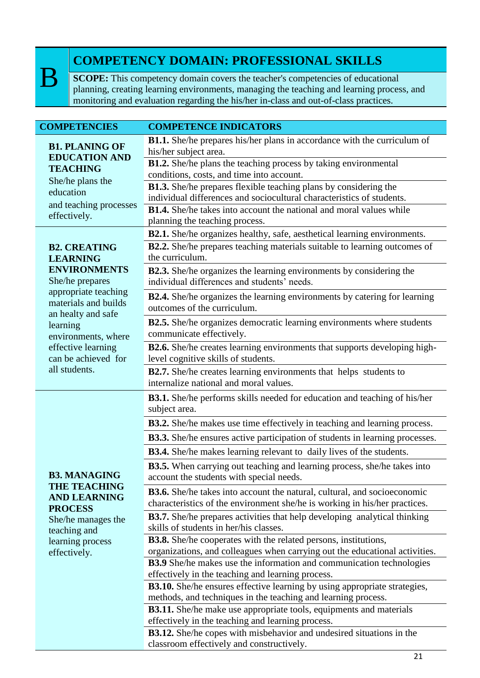B

## **COMPETENCY DOMAIN: PROFESSIONAL SKILLS**

**SCOPE:** This competency domain covers the teacher's competencies of educational planning, creating learning environments, managing the teaching and learning process, and monitoring and evaluation regarding the his/her in-class and out-of-class practices.

| <b>COMPETENCIES</b>                                                                  | <b>COMPETENCE INDICATORS</b>                                                                                                     |
|--------------------------------------------------------------------------------------|----------------------------------------------------------------------------------------------------------------------------------|
| <b>B1. PLANING OF</b><br><b>EDUCATION AND</b><br><b>TEACHING</b><br>She/he plans the | <b>B1.1.</b> She/he prepares his/her plans in accordance with the curriculum of                                                  |
|                                                                                      | his/her subject area.                                                                                                            |
|                                                                                      | B1.2. She/he plans the teaching process by taking environmental                                                                  |
|                                                                                      | conditions, costs, and time into account.                                                                                        |
| education                                                                            | <b>B1.3.</b> She/he prepares flexible teaching plans by considering the                                                          |
| and teaching processes                                                               | individual differences and sociocultural characteristics of students.                                                            |
| effectively.                                                                         | <b>B1.4.</b> She/he takes into account the national and moral values while<br>planning the teaching process.                     |
|                                                                                      | <b>B2.1.</b> She/he organizes healthy, safe, aesthetical learning environments.                                                  |
|                                                                                      | <b>B2.2.</b> She/he prepares teaching materials suitable to learning outcomes of                                                 |
| <b>B2. CREATING</b><br><b>LEARNING</b>                                               | the curriculum.                                                                                                                  |
| <b>ENVIRONMENTS</b>                                                                  | <b>B2.3.</b> She/he organizes the learning environments by considering the                                                       |
| She/he prepares                                                                      | individual differences and students' needs.                                                                                      |
| appropriate teaching                                                                 | <b>B2.4.</b> She/he organizes the learning environments by catering for learning                                                 |
| materials and builds                                                                 | outcomes of the curriculum.                                                                                                      |
| an healty and safe<br>learning                                                       | B2.5. She/he organizes democratic learning environments where students                                                           |
| environments, where                                                                  | communicate effectively.                                                                                                         |
| effective learning                                                                   | B2.6. She/he creates learning environments that supports developing high-                                                        |
| can be achieved for                                                                  | level cognitive skills of students.                                                                                              |
| all students.                                                                        | B2.7. She/he creates learning environments that helps students to                                                                |
|                                                                                      | internalize national and moral values.                                                                                           |
|                                                                                      | B3.1. She/he performs skills needed for education and teaching of his/her                                                        |
|                                                                                      | subject area.                                                                                                                    |
|                                                                                      | <b>B3.2.</b> She/he makes use time effectively in teaching and learning process.                                                 |
|                                                                                      | <b>B3.3.</b> She/he ensures active participation of students in learning processes.                                              |
|                                                                                      | <b>B3.4.</b> She/he makes learning relevant to daily lives of the students.                                                      |
|                                                                                      | <b>B3.5.</b> When carrying out teaching and learning process, she/he takes into                                                  |
| <b>B3. MANAGING</b>                                                                  | account the students with special needs.                                                                                         |
| <b>THE TEACHING</b>                                                                  | <b>B3.6.</b> She/he takes into account the natural, cultural, and socioeconomic                                                  |
| <b>AND LEARNING</b><br><b>PROCESS</b>                                                | characteristics of the environment she/he is working in his/her practices.                                                       |
| She/he manages the                                                                   | <b>B3.7.</b> She/he prepares activities that help developing analytical thinking                                                 |
| teaching and                                                                         | skills of students in her/his classes.                                                                                           |
| learning process                                                                     | <b>B3.8.</b> She/he cooperates with the related persons, institutions,                                                           |
| effectively.                                                                         | organizations, and colleagues when carrying out the educational activities.                                                      |
|                                                                                      | <b>B3.9</b> She/he makes use the information and communication technologies<br>effectively in the teaching and learning process. |
|                                                                                      | <b>B3.10.</b> She/he ensures effective learning by using appropriate strategies,                                                 |
|                                                                                      | methods, and techniques in the teaching and learning process.                                                                    |
|                                                                                      | <b>B3.11.</b> She/he make use appropriate tools, equipments and materials                                                        |
|                                                                                      | effectively in the teaching and learning process.                                                                                |
|                                                                                      | <b>B3.12.</b> She/he copes with misbehavior and undesired situations in the                                                      |
|                                                                                      | classroom effectively and constructively.                                                                                        |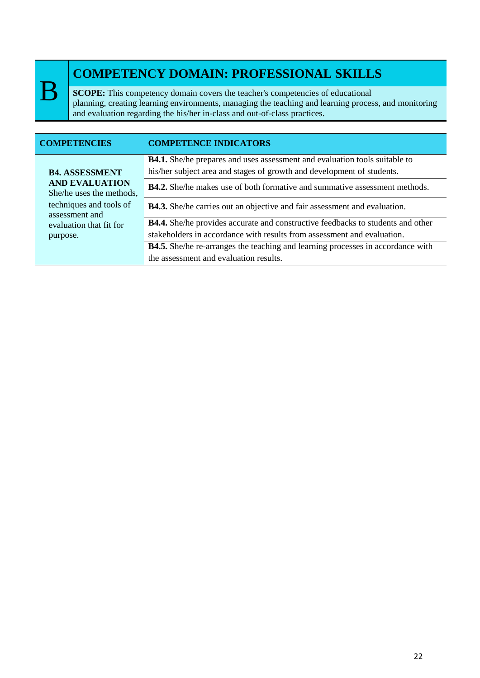B

## **COMPETENCY DOMAIN: PROFESSIONAL SKILLS**

**SCOPE:** This competency domain covers the teacher's competencies of educational planning, creating learning environments, managing the teaching and learning process, and monitoring and evaluation regarding the his/her in-class and out-of-class practices.

| <b>COMPETENCIES</b>                                                                                                     | <b>COMPETENCE INDICATORS</b>                                                                                                                                |
|-------------------------------------------------------------------------------------------------------------------------|-------------------------------------------------------------------------------------------------------------------------------------------------------------|
| <b>B4. ASSESSMENT</b><br><b>AND EVALUATION</b><br>She/he uses the methods,<br>techniques and tools of<br>assessment and | <b>B4.1.</b> She/he prepares and uses assessment and evaluation tools suitable to<br>his/her subject area and stages of growth and development of students. |
|                                                                                                                         | <b>B4.2.</b> She/he makes use of both formative and summative assessment methods.                                                                           |
|                                                                                                                         | <b>B4.3.</b> She/he carries out an objective and fair assessment and evaluation.                                                                            |
| evaluation that fit for                                                                                                 | <b>B4.4.</b> She/he provides accurate and constructive feedbacks to students and other                                                                      |
| purpose.                                                                                                                | stakeholders in accordance with results from assessment and evaluation.                                                                                     |
|                                                                                                                         | <b>B4.5.</b> She/he re-arranges the teaching and learning processes in accordance with                                                                      |
|                                                                                                                         | the assessment and evaluation results.                                                                                                                      |